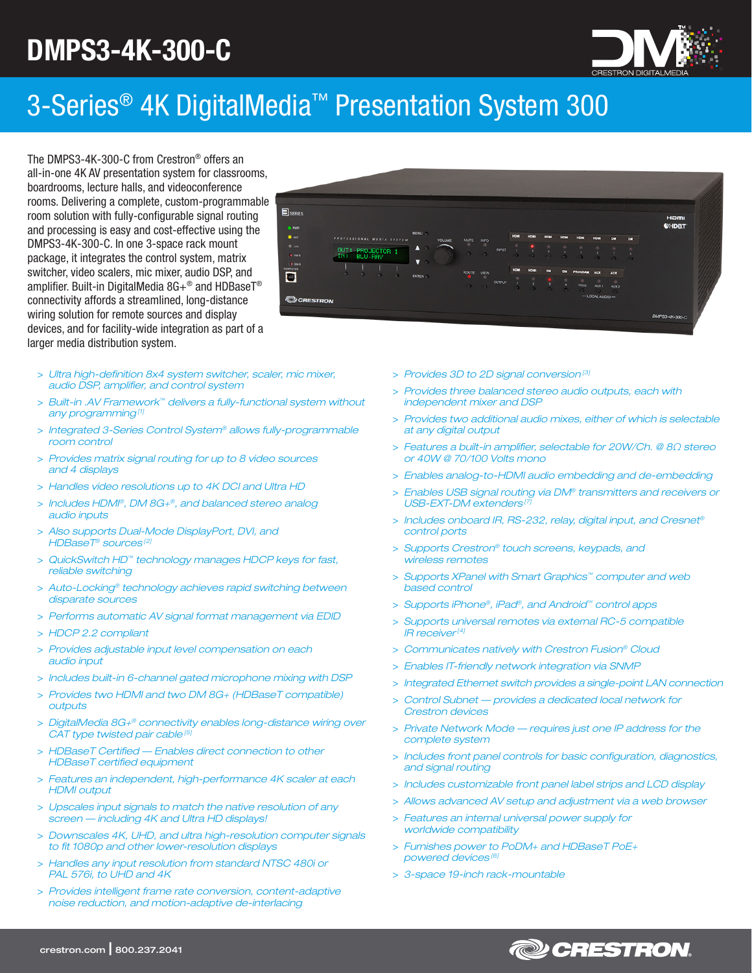# DMPS3-4K-300-C



# 3-Series® 4K DigitalMedia™ Presentation System 300

The DMPS3-4K-300-C from Crestron® offers an all-in-one 4K AV presentation system for classrooms, boardrooms, lecture halls, and videoconference rooms. Delivering a complete, custom-programmable room solution with fully-configurable signal routing and processing is easy and cost-effective using the DMPS3-4K-300-C. In one 3-space rack mount package, it integrates the control system, matrix switcher, video scalers, mic mixer, audio DSP, and amplifier. Built-in DigitalMedia 8G+® and HDBaseT® connectivity affords a streamlined, long-distance wiring solution for remote sources and display devices, and for facility-wide integration as part of a larger media distribution system.

- > *Ultra high-definition 8x4 system switcher, scaler, mic mixer, audio DSP, amplifier, and control system*
- > *Built-in .AV Framework™ delivers a fully-functional system without any programming [1]*
- > *Integrated 3-Series Control System® allows fully-programmable room control*
- > *Provides matrix signal routing for up to 8 video sources and 4 displays*
- > *Handles video resolutions up to 4K DCI and Ultra HD*
- > *Includes HDMI®, DM 8G+®, and balanced stereo analog audio inputs*
- > *Also supports Dual-Mode DisplayPort, DVI, and HDBaseT® sources [2]*
- > *QuickSwitch HD™ technology manages HDCP keys for fast, reliable switching*
- > *Auto-Locking® technology achieves rapid switching between disparate sources*
- > *Performs automatic AV signal format management via EDID*
- > *HDCP 2.2 compliant*
- > *Provides adjustable input level compensation on each audio input*
- > *Includes built-in 6-channel gated microphone mixing with DSP*
- > *Provides two HDMI and two DM 8G+ (HDBaseT compatible) outputs*
- > *DigitalMedia 8G+® connectivity enables long-distance wiring over CAT type twisted pair cable [5]*
- > *HDBaseT Certified Enables direct connection to other HDBaseT certified equipment*
- > *Features an independent, high-performance 4K scaler at each HDMI output*
- > *Upscales input signals to match the native resolution of any screen — including 4K and Ultra HD displays!*
- > *Downscales 4K, UHD, and ultra high-resolution computer signals to fit 1080p and other lower-resolution displays*
- > *Handles any input resolution from standard NTSC 480i or PAL 576i, to UHD and 4K*
- > *Provides intelligent frame rate conversion, content-adaptive noise reduction, and motion-adaptive de-interlacing*
- > *Provides 3D to 2D signal conversion [3]*
- > *Provides three balanced stereo audio outputs, each with independent mixer and DSP*
- > *Provides two additional audio mixes, either of which is selectable at any digital output*
- > *Features a built-in amplifier, selectable for 20W/Ch. @ 8Ω stereo or 40W @ 70/100 Volts mono*
- > *Enables analog-to-HDMI audio embedding and de-embedding*
- > *Enables USB signal routing via DM® transmitters and receivers or USB-EXT-DM extenders [7]*
- > *Includes onboard IR, RS-232, relay, digital input, and Cresnet® control ports*
- > *Supports Crestron® touch screens, keypads, and wireless remotes*
- > *Supports XPanel with Smart Graphics™ computer and web based control*
- > *Supports iPhone®, iPad®, and Android™ control apps*
- > *Supports universal remotes via external RC-5 compatible IR receiver [4]*
- > *Communicates natively with Crestron Fusion® Cloud*
- > *Enables IT-friendly network integration via SNMP*
- > *Integrated Ethernet switch provides a single-point LAN connection*
- > *Control Subnet provides a dedicated local network for Crestron devices*
- > *Private Network Mode requires just one IP address for the complete system*
- > *Includes front panel controls for basic configuration, diagnostics, and signal routing*
- > *Includes customizable front panel label strips and LCD display*
- > *Allows advanced AV setup and adjustment via a web browser*
- > *Features an internal universal power supply for worldwide compatibility*
- > *Furnishes power to PoDM+ and HDBaseT PoE+ powered devices [6]*
- > *3-space 19-inch rack-mountable*



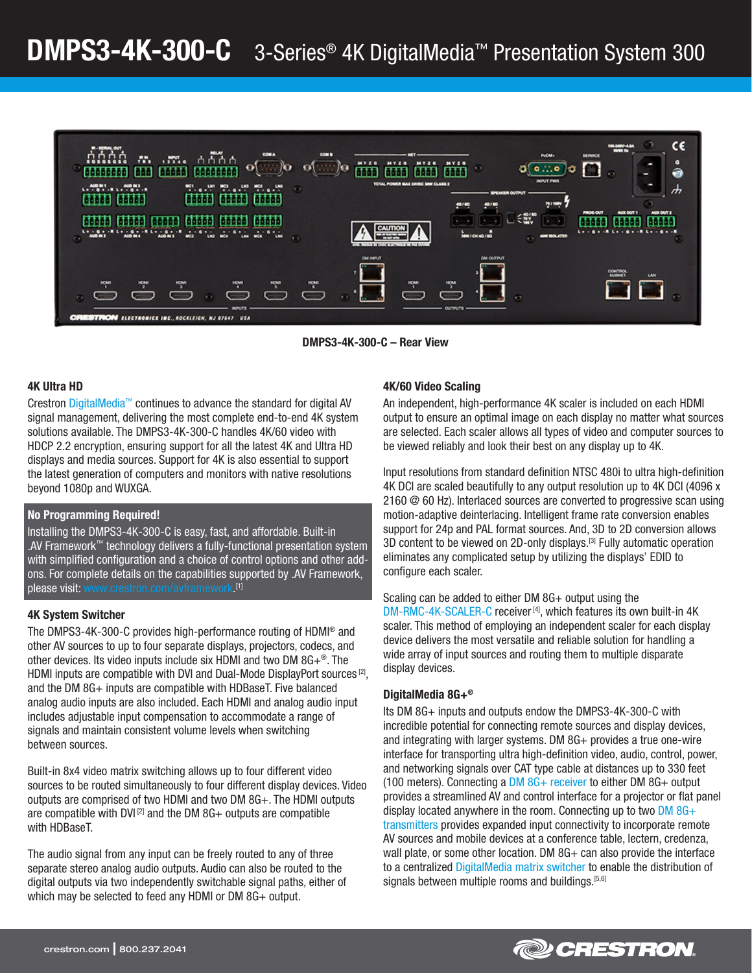

DMPS3-4K-300-C – Rear View

#### 4K Ultra HD

Crestron [DigitalMedia™](http://www.crestron.com/digitalmedia) continues to advance the standard for digital AV signal management, delivering the most complete end-to-end 4K system solutions available. The DMPS3-4K-300-C handles 4K/60 video with HDCP 2.2 encryption, ensuring support for all the latest 4K and Ultra HD displays and media sources. Support for 4K is also essential to support the latest generation of computers and monitors with native resolutions beyond 1080p and WUXGA.

#### No Programming Required!

Installing the DMPS3-4K-300-C is easy, fast, and affordable. Built-in .AV Framework™ technology delivers a fully-functional presentation system with simplified configuration and a choice of control options and other addons. For complete details on the capabilities supported by .AV Framework, please visit: v  $(1]$ 

## 4K System Switcher

The DMPS3-4K-300-C provides high-performance routing of HDMI® and other AV sources to up to four separate displays, projectors, codecs, and other devices. Its video inputs include six HDMI and two DM 8G+®. The HDMI inputs are compatible with DVI and Dual-Mode DisplayPort sources<sup>[2]</sup>, and the DM 8G+ inputs are compatible with HDBaseT. Five balanced analog audio inputs are also included. Each HDMI and analog audio input includes adjustable input compensation to accommodate a range of signals and maintain consistent volume levels when switching between sources.

Built-in 8x4 video matrix switching allows up to four different video sources to be routed simultaneously to four different display devices. Video outputs are comprised of two HDMI and two DM 8G+. The HDMI outputs are compatible with DVI $^{[2]}$  and the DM 8G+ outputs are compatible with HDBaseT.

The audio signal from any input can be freely routed to any of three separate stereo analog audio outputs. Audio can also be routed to the digital outputs via two independently switchable signal paths, either of which may be selected to feed any HDMI or DM 8G+ output.

## 4K/60 Video Scaling

An independent, high-performance 4K scaler is included on each HDMI output to ensure an optimal image on each display no matter what sources are selected. Each scaler allows all types of video and computer sources to be viewed reliably and look their best on any display up to 4K.

Input resolutions from standard definition NTSC 480i to ultra high-definition 4K DCI are scaled beautifully to any output resolution up to 4K DCI (4096 x 2160 @ 60 Hz). Interlaced sources are converted to progressive scan using motion-adaptive deinterlacing. Intelligent frame rate conversion enables support for 24p and PAL format sources. And, 3D to 2D conversion allows 3D content to be viewed on 2D-only displays.<sup>[3]</sup> Fully automatic operation eliminates any complicated setup by utilizing the displays' EDID to configure each scaler.

Scaling can be added to either DM 8G+ output using the [DM-RMC-4K-SCALER-C](http://www.crestron.com/products/model/dm-rmc-4k-scaler-c) receiver<sup>[4]</sup>, which features its own built-in 4K scaler. This method of employing an independent scaler for each display device delivers the most versatile and reliable solution for handling a wide array of input sources and routing them to multiple disparate display devices.

## DigitalMedia 8G+®

Its DM 8G+ inputs and outputs endow the DMPS3-4K-300-C with incredible potential for connecting remote sources and display devices, and integrating with larger systems. DM 8G+ provides a true one-wire interface for transporting ultra high-definition video, audio, control, power, and networking signals over CAT type cable at distances up to 330 feet (100 meters). Connecting a [DM 8G+ receiver](http://www.crestron.com/Products/video/digitalmedia-receivers) to either DM 8G+ output provides a streamlined AV and control interface for a projector or flat panel display located anywhere in the room. Connecting up to two  $DM 8G +$ [transmitters](http://www.crestron.com/Products/video/digitalmedia-transmitters) provides expanded input connectivity to incorporate remote AV sources and mobile devices at a conference table, lectern, credenza, wall plate, or some other location. DM 8G+ can also provide the interface to a centralized [DigitalMedia matrix switcher](http://www.crestron.com/Products/video/digitalmedia-switchers) to enable the distribution of signals between multiple rooms and buildings.<sup>[5,6]</sup>

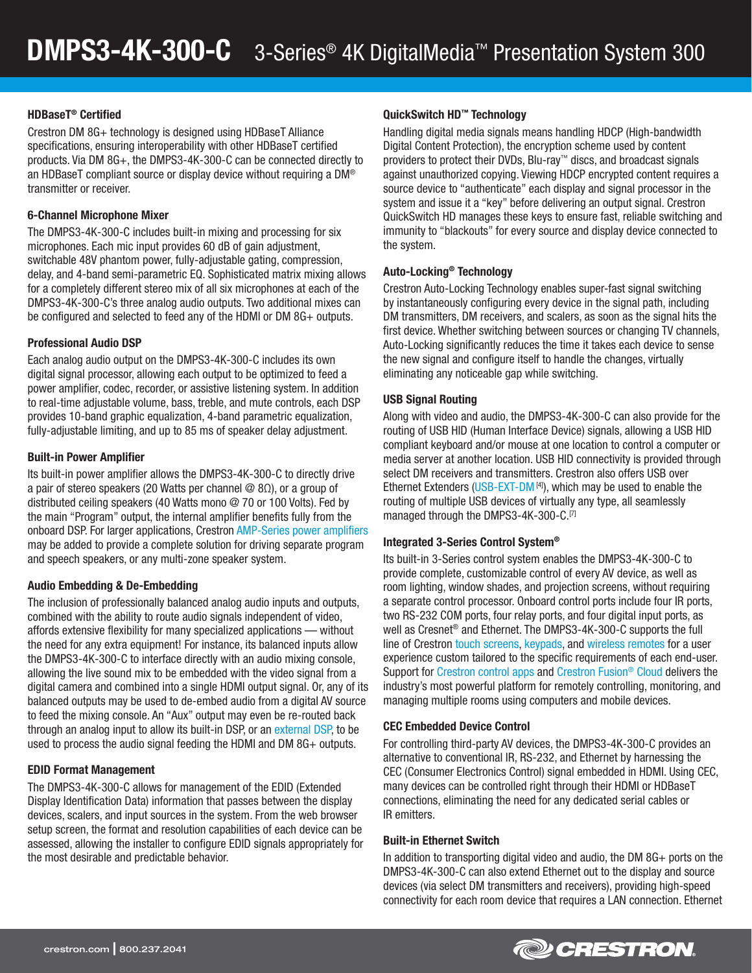## HDBaseT® Certified

Crestron DM 8G+ technology is designed using HDBaseT Alliance specifications, ensuring interoperability with other HDBaseT certified products. Via DM 8G+, the DMPS3-4K-300-C can be connected directly to an HDBaseT compliant source or display device without requiring a DM® transmitter or receiver.

## 6-Channel Microphone Mixer

The DMPS3-4K-300-C includes built-in mixing and processing for six microphones. Each mic input provides 60 dB of gain adjustment, switchable 48V phantom power, fully-adjustable gating, compression, delay, and 4-band semi-parametric EQ. Sophisticated matrix mixing allows for a completely different stereo mix of all six microphones at each of the DMPS3-4K-300-C's three analog audio outputs. Two additional mixes can be configured and selected to feed any of the HDMI or DM 8G+ outputs.

## Professional Audio DSP

Each analog audio output on the DMPS3-4K-300-C includes its own digital signal processor, allowing each output to be optimized to feed a power amplifier, codec, recorder, or assistive listening system. In addition to real-time adjustable volume, bass, treble, and mute controls, each DSP provides 10-band graphic equalization, 4-band parametric equalization, fully-adjustable limiting, and up to 85 ms of speaker delay adjustment.

## Built-in Power Amplifier

Its built-in power amplifier allows the DMPS3-4K-300-C to directly drive a pair of stereo speakers (20 Watts per channel @ 8Ω), or a group of distributed ceiling speakers (40 Watts mono @ 70 or 100 Volts). Fed by the main "Program" output, the internal amplifier benefits fully from the onboard DSP. For larger applications, Crestron [AMP-Series power amplifiers](http://www.crestron.com/Products/audio/amplifiers)  may be added to provide a complete solution for driving separate program and speech speakers, or any multi-zone speaker system.

# Audio Embedding & De-Embedding

The inclusion of professionally balanced analog audio inputs and outputs, combined with the ability to route audio signals independent of video, affords extensive flexibility for many specialized applications — without the need for any extra equipment! For instance, its balanced inputs allow the DMPS3-4K-300-C to interface directly with an audio mixing console, allowing the live sound mix to be embedded with the video signal from a digital camera and combined into a single HDMI output signal. Or, any of its balanced outputs may be used to de-embed audio from a digital AV source to feed the mixing console. An "Aux" output may even be re-routed back through an analog input to allow its built-in DSP, or an [external DSP,](http://www.crestron.com/Products/audio/digital-signal-processors) to be used to process the audio signal feeding the HDMI and DM 8G+ outputs.

## EDID Format Management

The DMPS3-4K-300-C allows for management of the EDID (Extended Display Identification Data) information that passes between the display devices, scalers, and input sources in the system. From the web browser setup screen, the format and resolution capabilities of each device can be assessed, allowing the installer to configure EDID signals appropriately for the most desirable and predictable behavior.

## QuickSwitch HD™ Technology

Handling digital media signals means handling HDCP (High-bandwidth Digital Content Protection), the encryption scheme used by content providers to protect their DVDs, Blu-ray™ discs, and broadcast signals against unauthorized copying. Viewing HDCP encrypted content requires a source device to "authenticate" each display and signal processor in the system and issue it a "key" before delivering an output signal. Crestron QuickSwitch HD manages these keys to ensure fast, reliable switching and immunity to "blackouts" for every source and display device connected to the system.

## Auto-Locking® Technology

Crestron Auto-Locking Technology enables super-fast signal switching by instantaneously configuring every device in the signal path, including DM transmitters, DM receivers, and scalers, as soon as the signal hits the first device. Whether switching between sources or changing TV channels, Auto-Locking significantly reduces the time it takes each device to sense the new signal and configure itself to handle the changes, virtually eliminating any noticeable gap while switching.

## USB Signal Routing

Along with video and audio, the DMPS3-4K-300-C can also provide for the routing of USB HID (Human Interface Device) signals, allowing a USB HID compliant keyboard and/or mouse at one location to control a computer or media server at another location. USB HID connectivity is provided through select DM receivers and transmitters. Crestron also offers USB over Ethernet Extenders ([USB-EXT-DM](http://www.crestron.com/products/model/usb-ext-dm)<sup>[4]</sup>), which may be used to enable the routing of multiple USB devices of virtually any type, all seamlessly managed through the DMPS3-4K-300-C.<sup>[7]</sup>

## Integrated 3-Series Control System®

Its built-in 3-Series control system enables the DMPS3-4K-300-C to provide complete, customizable control of every AV device, as well as room lighting, window shades, and projection screens, without requiring a separate control processor. Onboard control ports include four IR ports, two RS-232 COM ports, four relay ports, and four digital input ports, as well as Cresnet® and Ethernet. The DMPS3-4K-300-C supports the full line of Crestron [touch screens,](http://www.crestron.com/Products/control-surfaces/touch-screens) [keypads,](http://www.crestron.com/Products/control-surfaces/Keypads) and [wireless remotes](http://www.crestron.com/Products/control-surfaces/handheld-remotes) for a user experience custom tailored to the specific requirements of each end-user. Support for [Crestron control apps](http://www.crestron.com/Products/control-surfaces/control-surfaces-control-apps) and [Crestron Fusion® Cloud](http://www.crestron.com/fusion) delivers the industry's most powerful platform for remotely controlling, monitoring, and managing multiple rooms using computers and mobile devices.

# CEC Embedded Device Control

For controlling third-party AV devices, the DMPS3-4K-300-C provides an alternative to conventional IR, RS-232, and Ethernet by harnessing the CEC (Consumer Electronics Control) signal embedded in HDMI. Using CEC, many devices can be controlled right through their HDMI or HDBaseT connections, eliminating the need for any dedicated serial cables or IR emitters.

## Built-in Ethernet Switch

In addition to transporting digital video and audio, the DM 8G+ ports on the DMPS3-4K-300-C can also extend Ethernet out to the display and source devices (via select DM transmitters and receivers), providing high-speed connectivity for each room device that requires a LAN connection. Ethernet

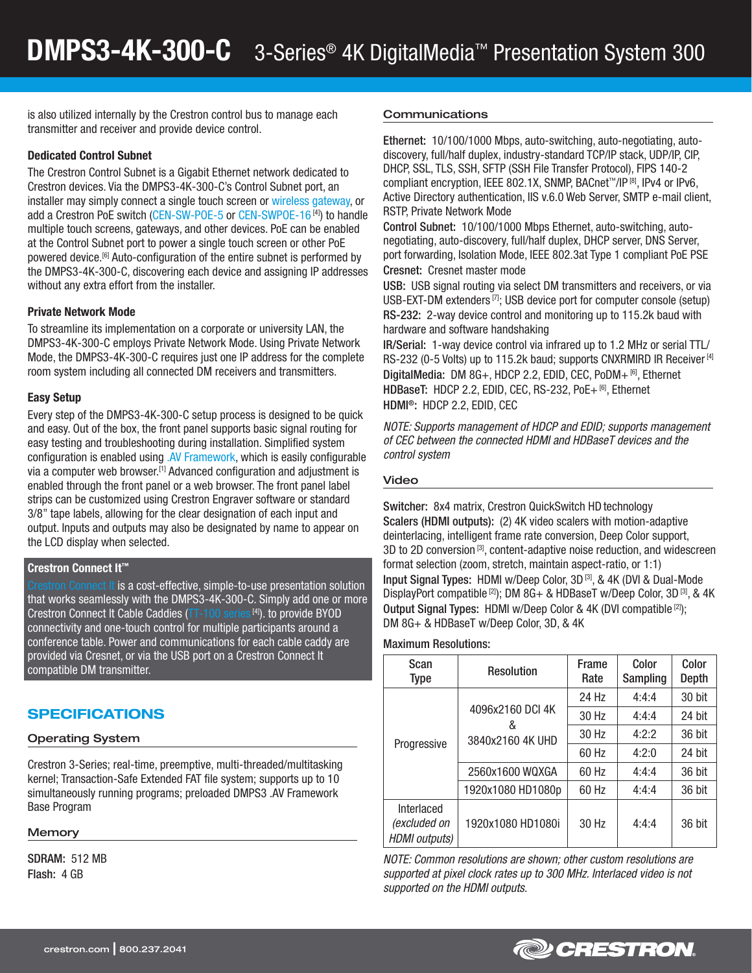is also utilized internally by the Crestron control bus to manage each transmitter and receiver and provide device control.

## Dedicated Control Subnet

The Crestron Control Subnet is a Gigabit Ethernet network dedicated to Crestron devices. Via the DMPS3-4K-300-C's Control Subnet port, an installer may simply connect a single touch screen or [wireless gateway,](http://www.crestron.com/Products/accessories/wireless-accessories) or add a Crestron PoE switch [\(CEN-SW-POE-5](http://www.crestron.com/products/model/cen-sw-poe-5) or [CEN-SWPOE-16](http://www.crestron.com/products/model/cen-swpoe-16)<sup>[4]</sup>) to handle multiple touch screens, gateways, and other devices. PoE can be enabled at the Control Subnet port to power a single touch screen or other PoE powered device.<sup>[6]</sup> Auto-configuration of the entire subnet is performed by the DMPS3-4K-300-C, discovering each device and assigning IP addresses without any extra effort from the installer.

## Private Network Mode

To streamline its implementation on a corporate or university LAN, the DMPS3-4K-300-C employs Private Network Mode. Using Private Network Mode, the DMPS3-4K-300-C requires just one IP address for the complete room system including all connected DM receivers and transmitters.

#### Easy Setup

Every step of the DMPS3-4K-300-C setup process is designed to be quick and easy. Out of the box, the front panel supports basic signal routing for easy testing and troubleshooting during installation. Simplified system configuration is enabled using [.AV Framework,](http://www.crestron.com/avframework) which is easily configurable via a computer web browser.<sup>[1]</sup> Advanced configuration and adjustment is enabled through the front panel or a web browser. The front panel label strips can be customized using Crestron Engraver software or standard 3/8" tape labels, allowing for the clear designation of each input and output. Inputs and outputs may also be designated by name to appear on the LCD display when selected.

## Crestron Connect It™

Connect It is a cost-effective, simple-to-use presentation solution that works seamlessly with the DMPS3-4K-300-C. Simply add one or more Crestron Connect It Cable Caddies [\(TT-100 series](http://www.crestron.com/products/model/tt-100) [4]). to provide BYOD connectivity and one-touch control for multiple participants around a conference table. Power and communications for each cable caddy are provided via Cresnet, or via the USB port on a Crestron Connect It compatible DM transmitter.

# SPECIFICATIONS

#### Operating System

Crestron 3-Series; real-time, preemptive, multi-threaded/multitasking kernel; Transaction-Safe Extended FAT file system; supports up to 10 simultaneously running programs; preloaded DMPS3 .AV Framework Base Program

#### **Memory**

SDRAM: 512 MB Flash: 4 GB

#### Communications

Ethernet: 10/100/1000 Mbps, auto-switching, auto-negotiating, autodiscovery, full/half duplex, industry-standard TCP/IP stack, UDP/IP, CIP, DHCP, SSL, TLS, SSH, SFTP (SSH File Transfer Protocol), FIPS 140-2 compliant encryption, IEEE 802.1X, SNMP, BACnet™/IP [8], IPv4 or IPv6, Active Directory authentication, IIS v.6.0 Web Server, SMTP e-mail client, RSTP, Private Network Mode

Control Subnet: 10/100/1000 Mbps Ethernet, auto-switching, autonegotiating, auto-discovery, full/half duplex, DHCP server, DNS Server, port forwarding, Isolation Mode, IEEE 802.3at Type 1 compliant PoE PSE Cresnet: Cresnet master mode

USB: USB signal routing via select DM transmitters and receivers, or via USB-EXT-DM extenders [7]; USB device port for computer console (setup) RS-232: 2-way device control and monitoring up to 115.2k baud with hardware and software handshaking

IR/Serial: 1-way device control via infrared up to 1.2 MHz or serial TTL/ RS-232 (0-5 Volts) up to 115.2k baud; supports CNXRMIRD IR Receiver [4] DigitalMedia: DM 8G+, HDCP 2.2, EDID, CEC, PoDM+ [6], Ethernet HDBaseT: HDCP 2.2, EDID, CEC, RS-232, PoE+ [6], Ethernet HDMI®: HDCP 2.2, EDID, CEC

*NOTE: Supports management of HDCP and EDID; supports management of CEC between the connected HDMI and HDBaseT devices and the control system*

#### Video

Switcher: 8x4 matrix, Crestron QuickSwitch HD technology Scalers (HDMI outputs): (2) 4K video scalers with motion-adaptive deinterlacing, intelligent frame rate conversion, Deep Color support, 3D to 2D conversion<sup>[3]</sup>, content-adaptive noise reduction, and widescreen format selection (zoom, stretch, maintain aspect-ratio, or 1:1) Input Signal Types: HDMI w/Deep Color, 3D [3], & 4K (DVI & Dual-Mode DisplayPort compatible<sup>[2]</sup>); DM 8G+ & HDBaseT w/Deep Color, 3D<sup>[3]</sup>, & 4K Output Signal Types: HDMI w/Deep Color & 4K (DVI compatible [2]); DM 8G+ & HDBaseT w/Deep Color, 3D, & 4K

Maximum Resolutions:

| Scan<br><b>Type</b>                                | <b>Resolution</b>                         | Frame<br>Rate | Color<br>Sampling | Color<br>Depth |
|----------------------------------------------------|-------------------------------------------|---------------|-------------------|----------------|
| Progressive                                        | 4096x2160 DCI 4K<br>&<br>3840x2160 4K UHD | 24 Hz         | 4:4:4             | 30 bit         |
|                                                    |                                           | 30 Hz         | 4:4:4             | 24 bit         |
|                                                    |                                           | 30 Hz         | 4:2:2             | 36 bit         |
|                                                    |                                           | 60 Hz         | 4:2:0             | 24 bit         |
|                                                    | 2560x1600 WQXGA                           | 60 Hz         | 4:4:4             | 36 bit         |
|                                                    | 1920x1080 HD1080p                         | 60 Hz         | 4:4:4             | 36 bit         |
| Interlaced<br>(excluded on<br><b>HDMI</b> outputs) | 1920x1080 HD1080i                         | 30 Hz         | 4:4:4             | 36 bit         |

*NOTE: Common resolutions are shown; other custom resolutions are supported at pixel clock rates up to 300 MHz. Interlaced video is not supported on the HDMI outputs.*



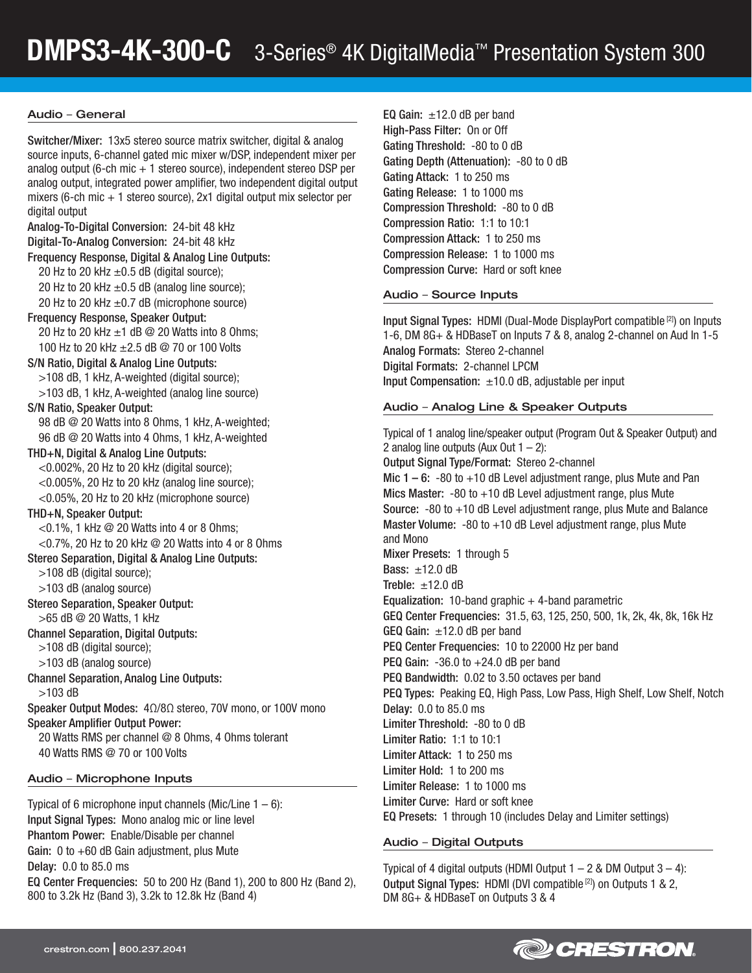## Audio – General

Switcher/Mixer: 13x5 stereo source matrix switcher, digital & analog source inputs, 6-channel gated mic mixer w/DSP, independent mixer per analog output (6-ch mic  $+1$  stereo source), independent stereo DSP per analog output, integrated power amplifier, two independent digital output mixers (6-ch mic  $+1$  stereo source), 2x1 digital output mix selector per digital output Analog-To-Digital Conversion: 24-bit 48 kHz Digital-To-Analog Conversion: 24-bit 48 kHz Frequency Response, Digital & Analog Line Outputs: 20 Hz to 20 kHz  $\pm$ 0.5 dB (digital source); 20 Hz to 20 kHz  $\pm$ 0.5 dB (analog line source); 20 Hz to 20 kHz  $\pm$ 0.7 dB (microphone source) Frequency Response, Speaker Output: 20 Hz to 20 kHz  $\pm$ 1 dB @ 20 Watts into 8 Ohms; 100 Hz to 20 kHz ±2.5 dB @ 70 or 100 Volts S/N Ratio, Digital & Analog Line Outputs: >108 dB, 1 kHz, A-weighted (digital source); >103 dB, 1 kHz, A-weighted (analog line source) S/N Ratio, Speaker Output: 98 dB @ 20 Watts into 8 Ohms, 1 kHz, A-weighted; 96 dB @ 20 Watts into 4 Ohms, 1 kHz, A-weighted THD+N, Digital & Analog Line Outputs:  $<$  0.002%, 20 Hz to 20 kHz (digital source);  $<$  0.005%, 20 Hz to 20 kHz (analog line source); <0.05%, 20 Hz to 20 kHz (microphone source) THD+N, Speaker Output:  $<$  0.1%, 1 kHz  $\odot$  20 Watts into 4 or 8 Ohms; <0.7%, 20 Hz to 20 kHz @ 20 Watts into 4 or 8 Ohms Stereo Separation, Digital & Analog Line Outputs: >108 dB (digital source); >103 dB (analog source) Stereo Separation, Speaker Output: >65 dB @ 20 Watts, 1 kHz Channel Separation, Digital Outputs: >108 dB (digital source); >103 dB (analog source) Channel Separation, Analog Line Outputs: >103 dB Speaker Output Modes: 4Ω/8Ω stereo, 70V mono, or 100V mono Speaker Amplifier Output Power: 20 Watts RMS per channel @ 8 Ohms, 4 Ohms tolerant 40 Watts RMS @ 70 or 100 Volts

## Audio – Microphone Inputs

Typical of 6 microphone input channels (Mic/Line  $1 - 6$ ): Input Signal Types: Mono analog mic or line level Phantom Power: Enable/Disable per channel Gain: 0 to +60 dB Gain adjustment, plus Mute Delay: 0.0 to 85.0 ms EQ Center Frequencies: 50 to 200 Hz (Band 1), 200 to 800 Hz (Band 2), 800 to 3.2k Hz (Band 3), 3.2k to 12.8k Hz (Band 4)

EQ Gain:  $\pm$ 12.0 dB per band High-Pass Filter: On or Off Gating Threshold: -80 to 0 dB Gating Depth (Attenuation): -80 to 0 dB Gating Attack: 1 to 250 ms Gating Release: 1 to 1000 ms Compression Threshold: -80 to 0 dB Compression Ratio: 1:1 to 10:1 Compression Attack: 1 to 250 ms Compression Release: 1 to 1000 ms Compression Curve: Hard or soft knee

#### Audio – Source Inputs

Input Signal Types: HDMI (Dual-Mode DisplayPort compatible [2]) on Inputs 1-6, DM 8G+ & HDBaseT on Inputs 7 & 8, analog 2-channel on Aud In 1-5 Analog Formats: Stereo 2-channel Digital Formats: 2-channel LPCM Input Compensation:  $\pm 10.0$  dB, adjustable per input

## Audio – Analog Line & Speaker Outputs

Typical of 1 analog line/speaker output (Program Out & Speaker Output) and 2 analog line outputs (Aux Out  $1 - 2$ ): Output Signal Type/Format: Stereo 2-channel Mic  $1 - 6$ :  $-80$  to  $+10$  dB Level adjustment range, plus Mute and Pan Mics Master:  $-80$  to  $+10$  dB Level adjustment range, plus Mute Source: -80 to +10 dB Level adjustment range, plus Mute and Balance Master Volume:  $-80$  to  $+10$  dB Level adjustment range, plus Mute and Mono Mixer Presets: 1 through 5 Bass: ±12.0 dB Treble:  $\pm 12.0$  dB Equalization: 10-band graphic  $+$  4-band parametric GEQ Center Frequencies: 31.5, 63, 125, 250, 500, 1k, 2k, 4k, 8k, 16k Hz GEQ Gain:  $\pm 12.0$  dB per band PEQ Center Frequencies: 10 to 22000 Hz per band PEQ Gain:  $-36.0$  to  $+24.0$  dB per band PEQ Bandwidth: 0.02 to 3.50 octaves per band PEQ Types: Peaking EQ, High Pass, Low Pass, High Shelf, Low Shelf, Notch Delay: 0.0 to 85.0 ms Limiter Threshold: -80 to 0 dB Limiter Ratio: 1:1 to 10:1 Limiter Attack: 1 to 250 ms Limiter Hold: 1 to 200 ms Limiter Release: 1 to 1000 ms Limiter Curve: Hard or soft knee EQ Presets: 1 through 10 (includes Delay and Limiter settings)

## Audio – Digital Outputs

Typical of 4 digital outputs (HDMI Output  $1 - 2$  & DM Output  $3 - 4$ ): Output Signal Types: HDMI (DVI compatible [2]) on Outputs 1 & 2, DM 8G+ & HDBaseT on Outputs 3 & 4

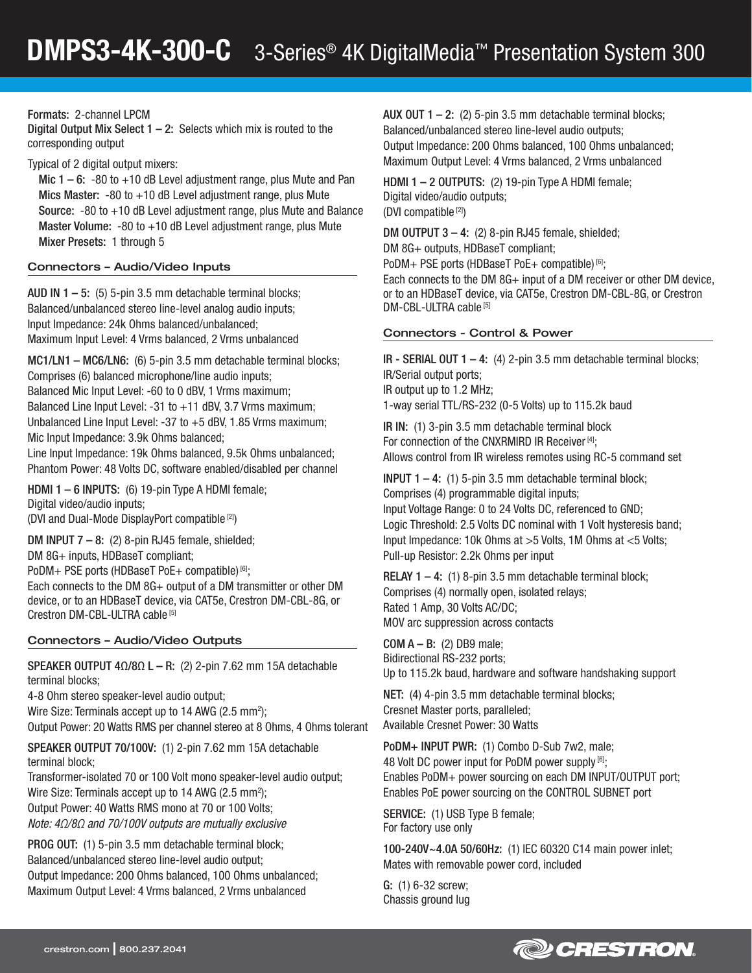Formats: 2-channel LPCM

Digital Output Mix Select  $1 - 2$ : Selects which mix is routed to the corresponding output

Typical of 2 digital output mixers:

Mic  $1 - 6$ :  $-80$  to  $+10$  dB Level adjustment range, plus Mute and Pan Mics Master: -80 to +10 dB Level adjustment range, plus Mute Source: -80 to +10 dB Level adjustment range, plus Mute and Balance Master Volume:  $-80$  to  $+10$  dB Level adjustment range, plus Mute Mixer Presets: 1 through 5

## Connectors – Audio/Video Inputs

AUD IN  $1 - 5$ : (5) 5-pin 3.5 mm detachable terminal blocks; Balanced/unbalanced stereo line-level analog audio inputs; Input Impedance: 24k Ohms balanced/unbalanced; Maximum Input Level: 4 Vrms balanced, 2 Vrms unbalanced

MC1/LN1 – MC6/LN6: (6) 5-pin 3.5 mm detachable terminal blocks; Comprises (6) balanced microphone/line audio inputs; Balanced Mic Input Level: -60 to 0 dBV, 1 Vrms maximum; Balanced Line Input Level: -31 to +11 dBV, 3.7 Vrms maximum; Unbalanced Line Input Level: -37 to +5 dBV, 1.85 Vrms maximum; Mic Input Impedance: 3.9k Ohms balanced;

Line Input Impedance: 19k Ohms balanced, 9.5k Ohms unbalanced; Phantom Power: 48 Volts DC, software enabled/disabled per channel

HDMI 1 – 6 INPUTS: (6) 19-pin Type A HDMI female; Digital video/audio inputs; (DVI and Dual-Mode DisplayPort compatible [2])

DM INPUT  $7 - 8$ : (2) 8-pin RJ45 female, shielded;

DM 8G+ inputs, HDBaseT compliant;

PoDM+ PSE ports (HDBaseT PoE+ compatible) [6];

Each connects to the DM 8G+ output of a DM transmitter or other DM device, or to an HDBaseT device, via CAT5e, Crestron DM-CBL-8G, or Crestron DM-CBL-ULTRA cable [5]

## Connectors – Audio/Video Outputs

SPEAKER OUTPUT  $4Ω/8Ω$  L – R: (2) 2-pin 7.62 mm 15A detachable terminal blocks;

4-8 Ohm stereo speaker-level audio output; Wire Size: Terminals accept up to 14 AWG (2.5 mm<sup>2</sup>); Output Power: 20 Watts RMS per channel stereo at 8 Ohms, 4 Ohms tolerant

SPEAKER OUTPUT 70/100V: (1) 2-pin 7.62 mm 15A detachable terminal block;

Transformer-isolated 70 or 100 Volt mono speaker-level audio output; Wire Size: Terminals accept up to 14 AWG (2.5 mm<sup>2</sup>); Output Power: 40 Watts RMS mono at 70 or 100 Volts; *Note: 4Ω/8Ω and 70/100V outputs are mutually exclusive*

PROG OUT: (1) 5-pin 3.5 mm detachable terminal block; Balanced/unbalanced stereo line-level audio output; Output Impedance: 200 Ohms balanced, 100 Ohms unbalanced;

Maximum Output Level: 4 Vrms balanced, 2 Vrms unbalanced

AUX OUT 1 – 2: (2) 5-pin 3.5 mm detachable terminal blocks; Balanced/unbalanced stereo line-level audio outputs; Output Impedance: 200 Ohms balanced, 100 Ohms unbalanced; Maximum Output Level: 4 Vrms balanced, 2 Vrms unbalanced

HDMI 1 - 2 OUTPUTS: (2) 19-pin Type A HDMI female; Digital video/audio outputs; (DVI compatible [2])

DM OUTPUT 3 – 4: (2) 8-pin RJ45 female, shielded; DM 8G+ outputs, HDBaseT compliant;

PoDM+ PSE ports (HDBaseT PoE+ compatible) [6];

Each connects to the DM 8G+ input of a DM receiver or other DM device. or to an HDBaseT device, via CAT5e, Crestron DM-CBL-8G, or Crestron DM-CBL-ULTRA cable [5]

## Connectors - Control & Power

IR - SERIAL OUT  $1 - 4$ : (4) 2-pin 3.5 mm detachable terminal blocks; IR/Serial output ports; IR output up to 1.2 MHz; 1-way serial TTL/RS-232 (0-5 Volts) up to 115.2k baud

IR IN: (1) 3-pin 3.5 mm detachable terminal block For connection of the CNXRMIRD IR Receiver [4]: Allows control from IR wireless remotes using RC-5 command set

**INPUT 1 – 4:** (1) 5-pin 3.5 mm detachable terminal block; Comprises (4) programmable digital inputs; Input Voltage Range: 0 to 24 Volts DC, referenced to GND; Logic Threshold: 2.5 Volts DC nominal with 1 Volt hysteresis band; Input Impedance: 10k Ohms at >5 Volts, 1M Ohms at <5 Volts; Pull-up Resistor: 2.2k Ohms per input

RELAY 1 – 4: (1) 8-pin 3.5 mm detachable terminal block; Comprises (4) normally open, isolated relays; Rated 1 Amp, 30 Volts AC/DC; MOV arc suppression across contacts

 $COM A - B$ : (2) DB9 male; Bidirectional RS-232 ports; Up to 115.2k baud, hardware and software handshaking support

NET: (4) 4-pin 3.5 mm detachable terminal blocks; Cresnet Master ports, paralleled; Available Cresnet Power: 30 Watts

PoDM+ INPUT PWR: (1) Combo D-Sub 7w2, male; 48 Volt DC power input for PoDM power supply [6]; Enables PoDM+ power sourcing on each DM INPUT/OUTPUT port; Enables PoE power sourcing on the CONTROL SUBNET port

SERVICE: (1) USB Type B female; For factory use only

100-240V~4.0A 50/60Hz: (1) IEC 60320 C14 main power inlet; Mates with removable power cord, included

G: (1) 6-32 screw; Chassis ground lug

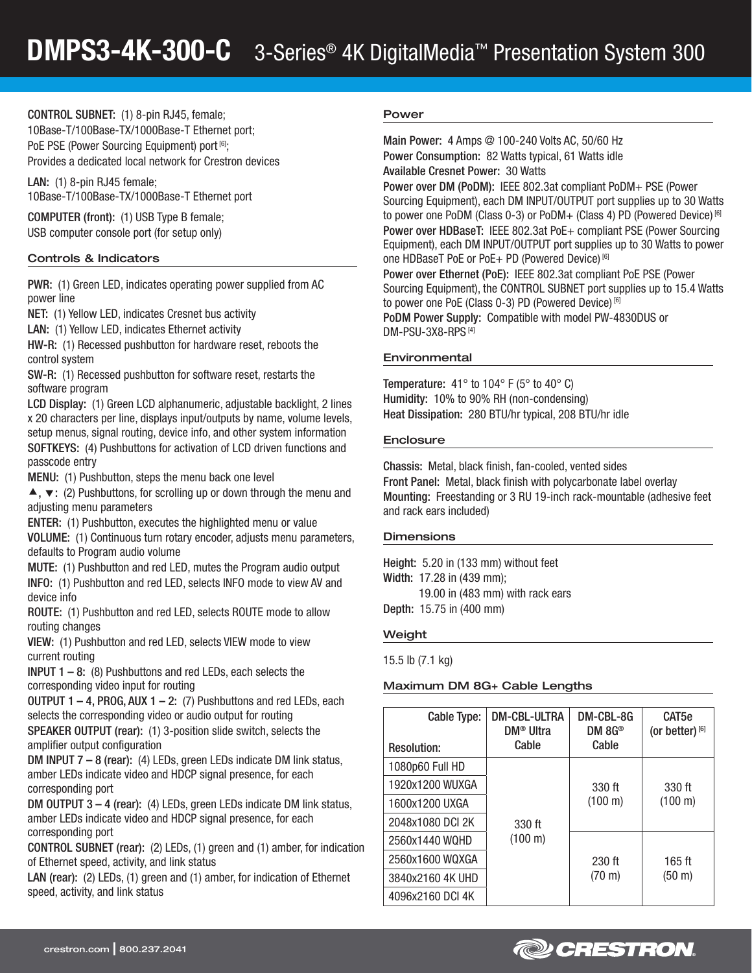CONTROL SUBNET: (1) 8-pin RJ45, female; 10Base-T/100Base-TX/1000Base-T Ethernet port; PoE PSE (Power Sourcing Equipment) port [6]; Provides a dedicated local network for Crestron devices

LAN: (1) 8-pin RJ45 female; 10Base-T/100Base-TX/1000Base-T Ethernet port

COMPUTER (front): (1) USB Type B female; USB computer console port (for setup only)

## Controls & Indicators

PWR: (1) Green LED, indicates operating power supplied from AC power line

NET: (1) Yellow LED, indicates Cresnet bus activity

LAN: (1) Yellow LED, indicates Ethernet activity

HW-R: (1) Recessed pushbutton for hardware reset, reboots the control system

SW-R: (1) Recessed pushbutton for software reset, restarts the software program

LCD Display: (1) Green LCD alphanumeric, adjustable backlight, 2 lines x 20 characters per line, displays input/outputs by name, volume levels, setup menus, signal routing, device info, and other system information SOFTKEYS: (4) Pushbuttons for activation of LCD driven functions and passcode entry

MENU: (1) Pushbutton, steps the menu back one level

 $\blacktriangle$ ,  $\blacktriangledown$ : (2) Pushbuttons, for scrolling up or down through the menu and adjusting menu parameters

ENTER: (1) Pushbutton, executes the highlighted menu or value

VOLUME: (1) Continuous turn rotary encoder, adjusts menu parameters, defaults to Program audio volume

MUTE: (1) Pushbutton and red LED, mutes the Program audio output INFO: (1) Pushbutton and red LED, selects INFO mode to view AV and device info

ROUTE: (1) Pushbutton and red LED, selects ROUTE mode to allow routing changes

VIEW: (1) Pushbutton and red LED, selects VIEW mode to view current routing

**INPUT 1 – 8:** (8) Pushbuttons and red LEDs, each selects the corresponding video input for routing

OUTPUT  $1 - 4$ , PROG, AUX  $1 - 2$ : (7) Pushbuttons and red LEDs, each selects the corresponding video or audio output for routing

SPEAKER OUTPUT (rear): (1) 3-position slide switch, selects the amplifier output configuration

DM INPUT 7 – 8 (rear): (4) LEDs, green LEDs indicate DM link status, amber LEDs indicate video and HDCP signal presence, for each corresponding port

DM OUTPUT 3 – 4 (rear): (4) LEDs, green LEDs indicate DM link status, amber LEDs indicate video and HDCP signal presence, for each corresponding port

CONTROL SUBNET (rear): (2) LEDs, (1) green and (1) amber, for indication of Ethernet speed, activity, and link status

LAN (rear): (2) LEDs, (1) green and (1) amber, for indication of Ethernet speed, activity, and link status

## Power

Main Power: 4 Amps @ 100-240 Volts AC, 50/60 Hz Power Consumption: 82 Watts typical, 61 Watts idle Available Cresnet Power: 30 Watts

Power over DM (PoDM): IEEE 802.3at compliant PoDM+ PSE (Power Sourcing Equipment), each DM INPUT/OUTPUT port supplies up to 30 Watts to power one PoDM (Class 0-3) or PoDM+ (Class 4) PD (Powered Device) [6] Power over HDBaseT: IEEE 802.3at PoE+ compliant PSE (Power Sourcing Equipment), each DM INPUT/OUTPUT port supplies up to 30 Watts to power one HDBaseT PoE or PoE+ PD (Powered Device) [6] Power over Ethernet (PoE): IEEE 802.3at compliant PoE PSE (Power Sourcing Equipment), the CONTROL SUBNET port supplies up to 15.4 Watts to power one PoE (Class 0-3) PD (Powered Device) [6]

PoDM Power Supply: Compatible with model PW-4830DUS or DM-PSU-3X8-RPS [4]

## Environmental

Temperature:  $41^\circ$  to  $104^\circ$  F (5° to  $40^\circ$  C) Humidity: 10% to 90% RH (non-condensing) Heat Dissipation: 280 BTU/hr typical, 208 BTU/hr idle

## **Enclosure**

Chassis: Metal, black finish, fan-cooled, vented sides Front Panel: Metal, black finish with polycarbonate label overlay Mounting: Freestanding or 3 RU 19-inch rack-mountable (adhesive feet and rack ears included)

## **Dimensions**

Height: 5.20 in (133 mm) without feet Width: 17.28 in (439 mm); 19.00 in (483 mm) with rack ears

Depth: 15.75 in (400 mm)

## Weight

15.5 lb (7.1 kg)

# Maximum DM 8G+ Cable Lengths

| Cable Type:<br><b>Resolution:</b> | DM-CBL-ULTRA<br>DM <sup>®</sup> Ultra<br>Cable | DM-CBL-8G<br>DM $\rm 8G^{\circledast}$<br>Cable | CAT <sub>5e</sub><br>(or better) $^{[6]}$ |
|-----------------------------------|------------------------------------------------|-------------------------------------------------|-------------------------------------------|
| 1080p60 Full HD                   |                                                |                                                 |                                           |
| 1920x1200 WUXGA                   |                                                | 330 ft                                          | 330 ft                                    |
| 1600x1200 UXGA                    |                                                | $(100 \text{ m})$                               | $(100 \text{ m})$                         |
| 2048x1080 DCI 2K                  | 330 ft                                         |                                                 |                                           |
| 2560x1440 WQHD                    | (100 m)                                        |                                                 |                                           |
| 2560x1600 WQXGA                   |                                                | $230$ ft                                        | $165$ ft                                  |
| 3840x2160 4K UHD                  |                                                | $(70 \text{ m})$                                | $(50 \;{\rm m})$                          |
| 4096x2160 DCI 4K                  |                                                |                                                 |                                           |

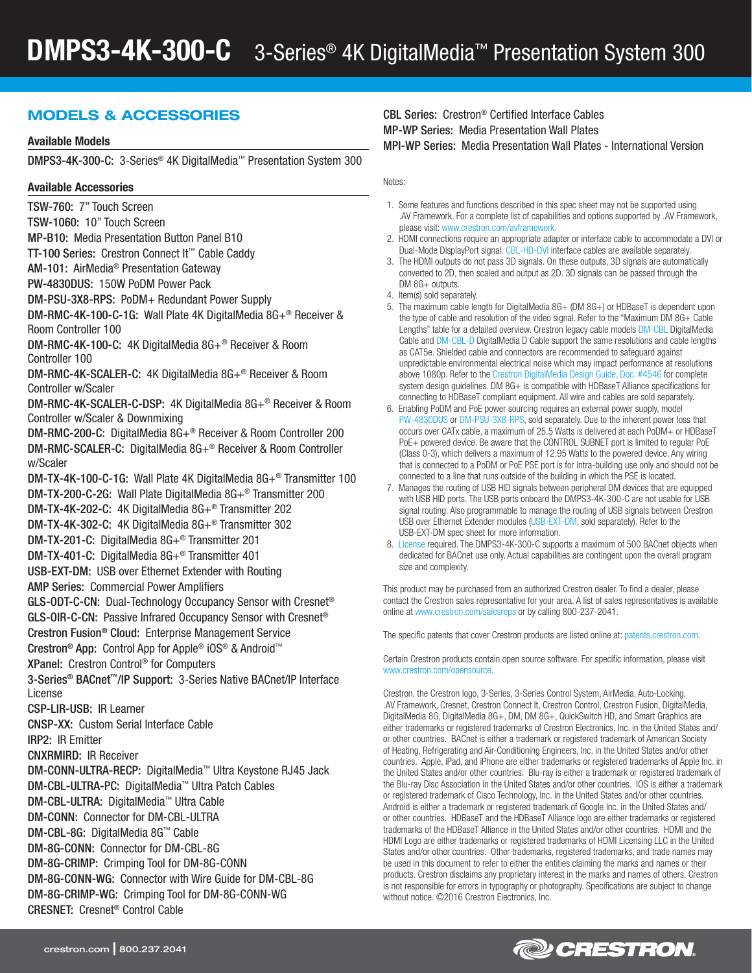# MODELS & ACCESSORIES

## Available Models

DMPS3-4K-300-C: 3-Series® 4K DigitalMedia™ Presentation System 300

#### Available Accessories

TSW-760: 7" Touch Screen TSW-1060: 10" Touch Screen MP-B10: Media Presentation Button Panel B10 TT-100 Series: Crestron Connect It™ Cable Caddy AM-101: AirMedia® Presentation Gateway PW-4830DUS: 150W PoDM Power Pack DM-PSU-3X8-RPS: PoDM+ Redundant Power Supply DM-RMC-4K-100-C-1G: Wall Plate 4K DigitalMedia 8G+® Receiver & Room Controller 100 DM-RMC-4K-100-C: 4K DigitalMedia 8G+® Receiver & Room Controller 100 DM-RMC-4K-SCALER-C: 4K DigitalMedia 8G+® Receiver & Room Controller w/Scaler DM-RMC-4K-SCALER-C-DSP: 4K DigitalMedia 8G+® Receiver & Room Controller w/Scaler & Downmixing DM-RMC-200-C: DigitalMedia 8G+® Receiver & Room Controller 200 DM-RMC-SCALER-C: DigitalMedia 8G+® Receiver & Room Controller w/Scaler DM-TX-4K-100-C-1G: Wall Plate 4K DigitalMedia 8G+® Transmitter 100 DM-TX-200-C-2G: Wall Plate DigitalMedia 8G+® Transmitter 200 DM-TX-4K-202-C: 4K DigitalMedia 8G+® Transmitter 202 DM-TX-4K-302-C: 4K DigitalMedia 8G+® Transmitter 302 DM-TX-201-C: DigitalMedia 8G+® Transmitter 201 DM-TX-401-C: DigitalMedia 8G+® Transmitter 401 USB-EXT-DM: USB over Ethernet Extender with Routing AMP Series: Commercial Power Amplifiers GLS-ODT-C-CN: Dual-Technology Occupancy Sensor with Cresnet® GLS-OIR-C-CN: Passive Infrared Occupancy Sensor with Cresnet® Crestron Fusion® Cloud: Enterprise Management Service Crestron® App: Control App for Apple® iOS® & Android™ XPanel: Crestron Control® for Computers 3-Series® BACnet™/IP Support: 3-Series Native BACnet/IP Interface License CSP-LIR-USB: IR Learner CNSP-XX: Custom Serial Interface Cable IRP2: IR Emitter CNXRMIRD: IR Receiver DM-CONN-ULTRA-RECP: DigitalMedia™ Ultra Keystone RJ45 Jack DM-CBL-ULTRA-PC: DigitalMedia™ Ultra Patch Cables DM-CBL-ULTRA: DigitalMedia™ Ultra Cable DM-CONN: Connector for DM-CBL-ULTRA DM-CBL-8G: DigitalMedia 8G™ Cable DM-8G-CONN: Connector for DM-CBL-8G DM-8G-CRIMP: Crimping Tool for DM-8G-CONN DM-8G-CONN-WG: Connector with Wire Guide for DM-CBL-8G DM-8G-CRIMP-WG: Crimping Tool for DM-8G-CONN-WG CRESNET: Cresnet® Control Cable

## CBL Series: Crestron® Certified Interface Cables MP-WP Series: Media Presentation Wall Plates MPI-WP Series: Media Presentation Wall Plates - International Version

Notes:

- 1. Some features and functions described in this spec sheet may not be supported using .AV Framework. For a complete list of capabilities and options supported by .AV Framework, please visit: [www.crestron.com/avframework.](http://www.crestron.com/avframework)
- 2. HDMI connections require an appropriate adapter or interface cable to accommodate a DVI or Dual-Mode DisplayPort signal. [CBL-HD-DVI](http://www.crestron.com/products/model/CBL-HD-DVI) interface cables are available separately.
- 3. The HDMI outputs do not pass 3D signals. On these outputs, 3D signals are automatically converted to 2D, then scaled and output as 2D. 3D signals can be passed through the DM 8G+ outputs.
- 4. Item(s) sold separately.
- 5. The maximum cable length for DigitalMedia 8G+ (DM 8G+) or HDBaseT is dependent upon the type of cable and resolution of the video signal. Refer to the "Maximum DM 8G+ Cable Lengths" table for a detailed overview. Crestron legacy cable models [DM-CBL](http://www.crestron.com/products/model/DM-CBL) DigitalMedia Cable and [DM-CBL-D](http://www.crestron.com/products/model/DM-CBL-D) DigitalMedia D Cable support the same resolutions and cable lengths as CAT5e. Shielded cable and connectors are recommended to safeguard against unpredictable environmental electrical noise which may impact performance at resolutions above 1080p. Refer to the [Crestron DigitalMedia Design Guide, Doc. #4546](http://www.crestron.com/dmresouces) for complete system design guidelines. DM 8G+ is compatible with HDBaseT Alliance specifications for connecting to HDBaseT compliant equipment. All wire and cables are sold separately.
- 6. Enabling PoDM and PoE power sourcing requires an external power supply, model [PW-4830DUS](http://www.crestron.com/products/model/pw-4830dus) or [DM-PSU-3X8-RPS,](http://www.crestron.com/products/model/dm-psu-3x8-rps) sold separately. Due to the inherent power loss that occurs over CATx cable, a maximum of 25.5 Watts is delivered at each PoDM+ or HDBaseT PoE+ powered device. Be aware that the CONTROL SUBNET port is limited to regular PoE (Class 0-3), which delivers a maximum of 12.95 Watts to the powered device. Any wiring that is connected to a PoDM or PoE PSE port is for intra-building use only and should not be connected to a line that runs outside of the building in which the PSE is located.
- 7. Manages the routing of USB HID signals between peripheral DM devices that are equipped with USB HID ports. The USB ports onboard the DMPS3-4K-300-C are not usable for USB signal routing. Also programmable to manage the routing of USB signals between Crestron USB over Ethernet Extender modules ([USB-EXT-DM,](http://www.crestron.com/products/model/usb-ext-dm) sold separately). Refer to the USB-EXT-DM spec sheet for more information.
- 8. [License](http://www.crestron.com/products/model/SW-3SERIES-BACNET) required. The DMPS3-4K-300-C supports a maximum of 500 BACnet objects when dedicated for BACnet use only. Actual capabilities are contingent upon the overall program size and complexity.

This product may be purchased from an authorized Crestron dealer. To find a dealer, please contact the Crestron sales representative for your area. A list of sales representatives is available online at [www.crestron.com/salesreps](http://www.crestron.com/salesreps) or by calling 800-237-2041.

The specific patents that cover Crestron products are listed online at: [patents.crestron.com.](http://patents.crestron.com)

Certain Crestron products contain open source software. For specific information, please visit [www.crestron.com/opensource](http://www.crestron.com/opensource).

Crestron, the Crestron logo, 3-Series, 3-Series Control System, AirMedia, Auto-Locking, .AV Framework, Cresnet, Crestron Connect It, Crestron Control, Crestron Fusion, DigitalMedia, DigitalMedia 8G, DigitalMedia 8G+, DM, DM 8G+, QuickSwitch HD, and Smart Graphics are either trademarks or registered trademarks of Crestron Electronics, Inc. in the United States and/ or other countries. BACnet is either a trademark or registered trademark of American Society of Heating, Refrigerating and Air-Conditioning Engineers, Inc. in the United States and/or other countries. Apple, iPad, and iPhone are either trademarks or registered trademarks of Apple Inc. in the United States and/or other countries. Blu-ray is either a trademark or registered trademark of the Blu-ray Disc Association in the United States and/or other countries. IOS is either a trademark or registered trademark of Cisco Technology, Inc. in the United States and/or other countries. Android is either a trademark or registered trademark of Google Inc. in the United States and/ or other countries. HDBaseT and the HDBaseT Alliance logo are either trademarks or registered trademarks of the HDBaseT Alliance in the United States and/or other countries. HDMI and the HDMI Logo are either trademarks or registered trademarks of HDMI Licensing LLC in the United States and/or other countries. Other trademarks, registered trademarks, and trade names may be used in this document to refer to either the entities claiming the marks and names or their products. Crestron disclaims any proprietary interest in the marks and names of others. Crestron is not responsible for errors in typography or photography. Specifications are subject to change without notice. ©2016 Crestron Electronics, Inc.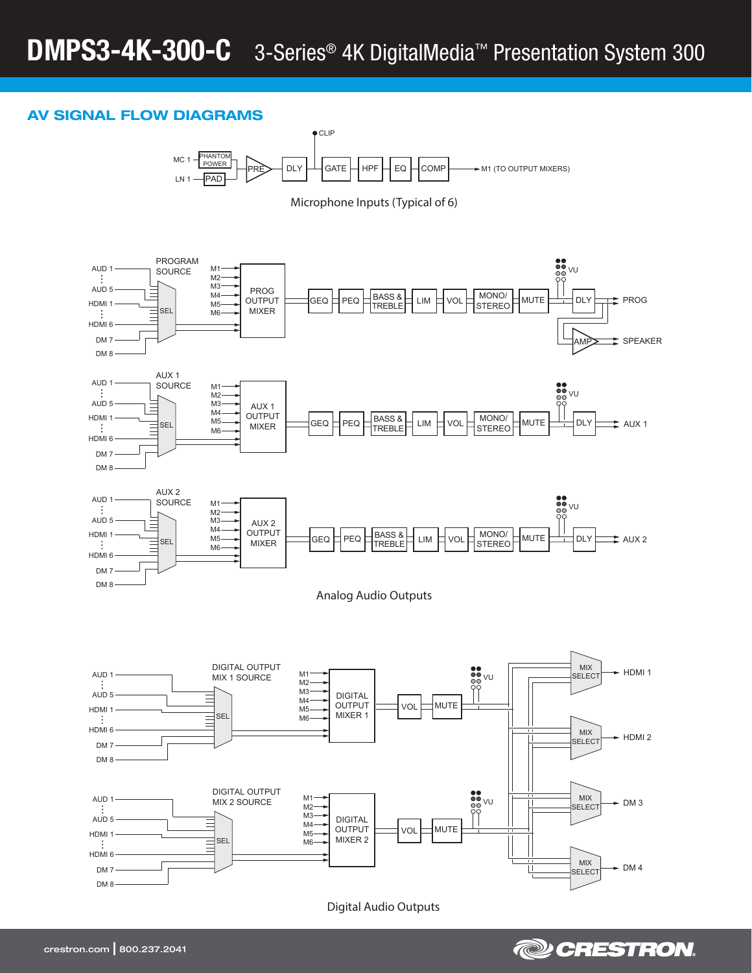# AV SIGNAL FLOW DIAGRAMS